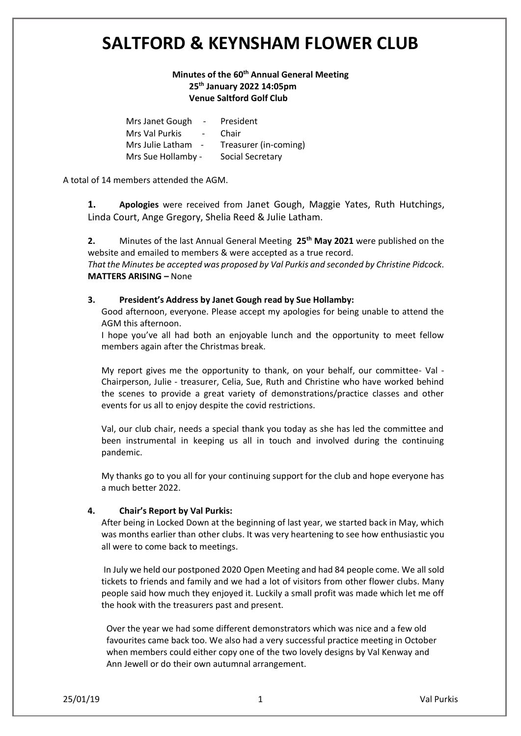## **Minutes of the 60th Annual General Meeting 25th January 2022 14:05pm Venue Saltford Golf Club**

| Mrs Janet Gough<br>$\sim$                  | President             |
|--------------------------------------------|-----------------------|
| Mrs Val Purkis<br>$\overline{\phantom{0}}$ | Chair                 |
| Mrs Julie Latham<br>$\sim$                 | Treasurer (in-coming) |
| Mrs Sue Hollamby -                         | Social Secretary      |

A total of 14 members attended the AGM.

**1. Apologies** were received from Janet Gough, Maggie Yates, Ruth Hutchings, Linda Court, Ange Gregory, Shelia Reed & Julie Latham.

**2.** Minutes of the last Annual General Meeting **25th May 2021** were published on the website and emailed to members & were accepted as a true record.

*That the Minutes be accepted was proposed by Val Purkis and seconded by Christine Pidcock.* **MATTERS ARISING – None** 

### **3.**1) **President's Address by Janet Gough read by Sue Hollamby:**

Good afternoon, everyone. Please accept my apologies for being unable to attend the AGM this afternoon.

I hope you've all had both an enjoyable lunch and the opportunity to meet fellow members again after the Christmas break.

My report gives me the opportunity to thank, on your behalf, our committee- Val - Chairperson, Julie - treasurer, Celia, Sue, Ruth and Christine who have worked behind the scenes to provide a great variety of demonstrations/practice classes and other events for us all to enjoy despite the covid restrictions.

Val, our club chair, needs a special thank you today as she has led the committee and been instrumental in keeping us all in touch and involved during the continuing pandemic.

My thanks go to you all for your continuing support for the club and hope everyone has a much better 2022.

### **4. Chair's Report by Val Purkis:**

After being in Locked Down at the beginning of last year, we started back in May, which was months earlier than other clubs. It was very heartening to see how enthusiastic you all were to come back to meetings.

In July we held our postponed 2020 Open Meeting and had 84 people come. We all sold tickets to friends and family and we had a lot of visitors from other flower clubs. Many people said how much they enjoyed it. Luckily a small profit was made which let me off the hook with the treasurers past and present.

Over the year we had some different demonstrators which was nice and a few old favourites came back too. We also had a very successful practice meeting in October when members could either copy one of the two lovely designs by Val Kenway and Ann Jewell or do their own autumnal arrangement.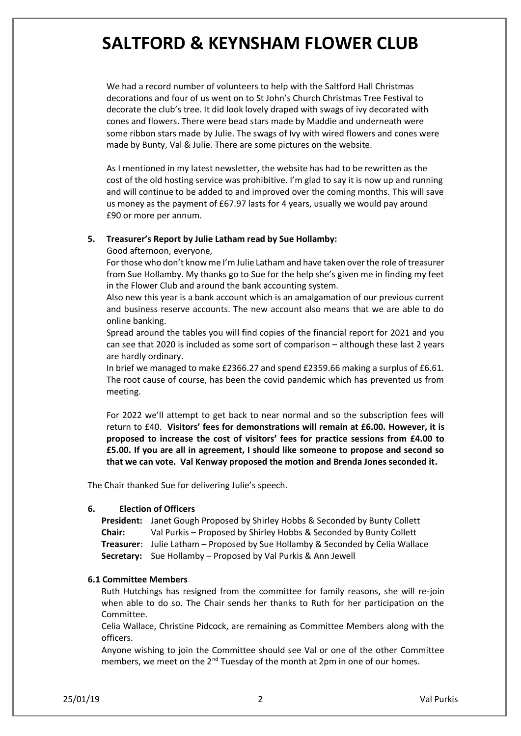We had a record number of volunteers to help with the Saltford Hall Christmas decorations and four of us went on to St John's Church Christmas Tree Festival to decorate the club's tree. It did look lovely draped with swags of ivy decorated with cones and flowers. There were bead stars made by Maddie and underneath were some ribbon stars made by Julie. The swags of Ivy with wired flowers and cones were made by Bunty, Val & Julie. There are some pictures on the website.

As I mentioned in my latest newsletter, the website has had to be rewritten as the cost of the old hosting service was prohibitive. I'm glad to say it is now up and running and will continue to be added to and improved over the coming months. This will save us money as the payment of £67.97 lasts for 4 years, usually we would pay around £90 or more per annum.

### **5. Treasurer's Report by Julie Latham read by Sue Hollamby:**

Good afternoon, everyone,

For those who don't know me I'm Julie Latham and have taken over the role of treasurer from Sue Hollamby. My thanks go to Sue for the help she's given me in finding my feet in the Flower Club and around the bank accounting system.

Also new this year is a bank account which is an amalgamation of our previous current and business reserve accounts. The new account also means that we are able to do online banking.

Spread around the tables you will find copies of the financial report for 2021 and you can see that 2020 is included as some sort of comparison – although these last 2 years are hardly ordinary.

In brief we managed to make £2366.27 and spend £2359.66 making a surplus of £6.61. The root cause of course, has been the covid pandemic which has prevented us from meeting.

For 2022 we'll attempt to get back to near normal and so the subscription fees will return to £40. **Visitors' fees for demonstrations will remain at £6.00. However, it is proposed to increase the cost of visitors' fees for practice sessions from £4.00 to £5.00. If you are all in agreement, I should like someone to propose and second so that we can vote. Val Kenway proposed the motion and Brenda Jones seconded it.**

The Chair thanked Sue for delivering Julie's speech.

### **6. Election of Officers**

**President:** Janet Gough Proposed by Shirley Hobbs & Seconded by Bunty Collett **Chair:** Val Purkis – Proposed by Shirley Hobbs & Seconded by Bunty Collett **Treasurer**: Julie Latham – Proposed by Sue Hollamby & Seconded by Celia Wallace **Secretary:** Sue Hollamby – Proposed by Val Purkis & Ann Jewell

### **6.1 Committee Members**

Ruth Hutchings has resigned from the committee for family reasons, she will re-join when able to do so. The Chair sends her thanks to Ruth for her participation on the Committee.

Celia Wallace, Christine Pidcock, are remaining as Committee Members along with the officers.

Anyone wishing to join the Committee should see Val or one of the other Committee members, we meet on the  $2^{nd}$  Tuesday of the month at  $2$ pm in one of our homes.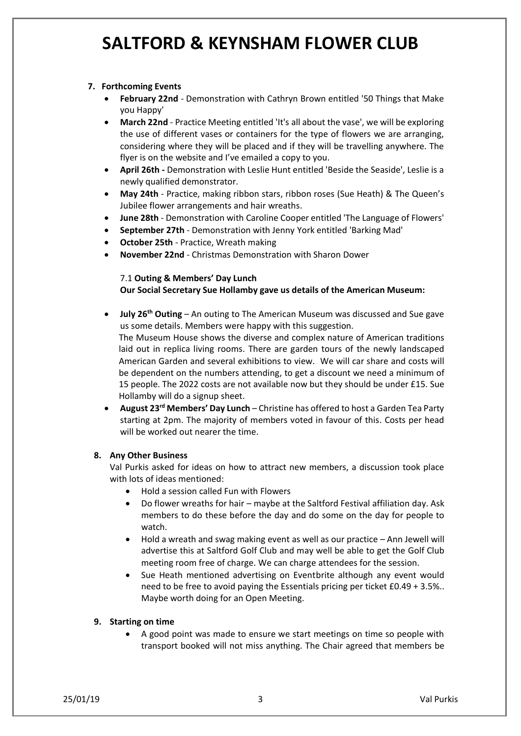## **7. Forthcoming Events**

- **February 22nd** Demonstration with Cathryn Brown entitled '50 Things that Make you Happy'
- **March 22nd** Practice Meeting entitled 'It's all about the vase', we will be exploring the use of different vases or containers for the type of flowers we are arranging, considering where they will be placed and if they will be travelling anywhere. The flyer is on the website and I've emailed a copy to you.
- **April 26th -** Demonstration with Leslie Hunt entitled 'Beside the Seaside', Leslie is a newly qualified demonstrator.
- **May 24th** Practice, making ribbon stars, ribbon roses (Sue Heath) & The Queen's Jubilee flower arrangements and hair wreaths.
- **June 28th** Demonstration with Caroline Cooper entitled 'The Language of Flowers'
- **September 27th** Demonstration with Jenny York entitled 'Barking Mad'
- **October 25th** Practice, Wreath making
- **November 22nd** Christmas Demonstration with Sharon Dower

## 7.1 **Outing & Members' Day Lunch**

## **Our Social Secretary Sue Hollamby gave us details of the American Museum:**

- **July 26th Outing** An outing to The American Museum was discussed and Sue gave us some details. Members were happy with this suggestion. The Museum House shows the diverse and complex nature of American traditions laid out in replica living rooms. There are garden tours of the newly landscaped American Garden and several exhibitions to view. We will car share and costs will be dependent on the numbers attending, to get a discount we need a minimum of 15 people. The 2022 costs are not available now but they should be under £15. Sue Hollamby will do a signup sheet.
- **August 23rd Members' Day Lunch** Christine has offered to host a Garden Tea Party starting at 2pm. The majority of members voted in favour of this. Costs per head will be worked out nearer the time.

## **8. Any Other Business**

Val Purkis asked for ideas on how to attract new members, a discussion took place with lots of ideas mentioned:

- Hold a session called Fun with Flowers
- Do flower wreaths for hair maybe at the Saltford Festival affiliation day. Ask members to do these before the day and do some on the day for people to watch.
- Hold a wreath and swag making event as well as our practice Ann Jewell will advertise this at Saltford Golf Club and may well be able to get the Golf Club meeting room free of charge. We can charge attendees for the session.
- Sue Heath mentioned advertising on Eventbrite although any event would need to be free to avoid paying the Essentials pricing per ticket £0.49 + 3.5%.. Maybe worth doing for an Open Meeting.

## **9. Starting on time**

• A good point was made to ensure we start meetings on time so people with transport booked will not miss anything. The Chair agreed that members be